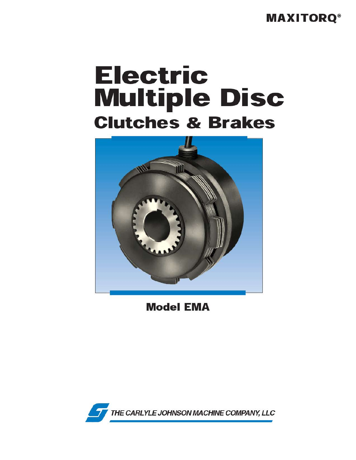**MAXITORQ®** 

# **Electric Multiple Disc Clutches & Brakes**



**Model EMA** 

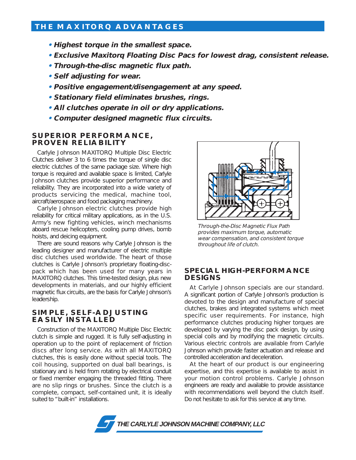## **THE MAXITORQ ADVANTAGES**

- **Highest torque in the smallest space.**
- **Exclusive Maxitorq Floating Disc Pacs for lowest drag, consistent release.**
- **Through-the-disc magnetic flux path.**
- **Self adjusting for wear.**
- **Positive engagement/disengagement at any speed.**
- **Stationary field eliminates brushes, rings.**
- **All clutches operate in oil or dry applications.**
- **Computer designed magnetic flux circuits.**

#### **SUPERIOR PERFORMANCE, PROVEN RELIABILITY**

Carlyle Johnson MAXITORQ Multiple Disc Electric Clutches deliver 3 to 6 times the torque of single disc electric clutches of the same package size. Where high torque is required and available space is limited, Carlyle Johnson clutches provide superior performance and reliability. They are incorporated into a wide variety of products servicing the medical, machine tool, aircraft/aerospace and food packaging machinery.

Carlyle Johnson electric clutches provide high reliability for critical military applications, as in the U.S. Army's new fighting vehicles, winch mechanisms aboard rescue helicopters, cooling pump drives, bomb hoists, and deicing equipment.

There are sound reasons why Carlyle Johnson is the leading designer and manufacturer of electric multiple disc clutches used worldwide. The heart of those clutches is Carlyle Johnson's proprietary floating-discpack which has been used for many years in MAXITORQ clutches. This time-tested design, plus new developments in materials, and our highly efficient magnetic flux circuits, are the basis for Carlyle Johnson's leadership.

### **SIMPLE, SELF-ADJUSTING EASILY INSTALLED**

Construction of the MAXITORQ Multiple Disc Electric clutch is simple and rugged. It is fully self-adjusting in operation up to the point of replacement of friction discs after long service. As with all MAXITORQ clutches, this is easily done without special tools. The coil housing, supported on dual ball bearings, is stationary and is held from rotating by electrical conduit or fixed member engaging the threaded fitting. There are no slip rings or brushes. Since the clutch is a complete, compact, self-contained unit, it is ideally suited to "built-in" installations.



Through-the-Disc Magnetic Flux Path provides maximum torque, automatic wear compensation, and consistent torque throughout life of clutch.

### **SPECIAL HIGH-PERFORMANCE DESIGNS**

At Carlyle Johnson specials are our standard. A significant portion of Carlyle Johnson's production is devoted to the design and manufacture of special clutches, brakes and integrated systems which meet specific user requirements. For instance, high performance clutches producing higher torques are developed by varying the disc pack design, by using special coils and by modifying the magnetic circuits. Various electric controls are available from Carlyle Johnson which provide faster actuation and release and controlled acceleration and deceleration.

At the heart of our product is our engineering expertise, and this expertise is available to assist in your motion control problems. Carlyle Johnson engineers are ready and available to provide assistance with recommendations well beyond the clutch itself. Do not hesitate to ask for this service at any time.

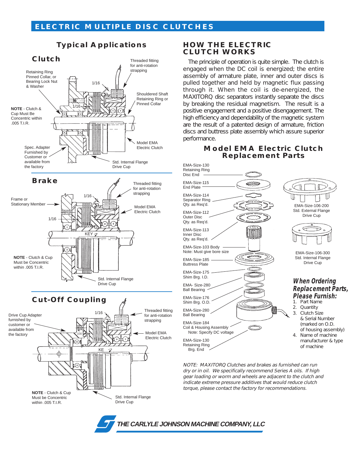**Typical Applications**



## **HOW THE ELECTRIC CLUTCH WORKS**

The principle of operation is quite simple. The clutch is engaged when the DC coil is energized; the entire assembly of armature plate, inner and outer discs is pulled together and held by magnetic flux passing through it. When the coil is de-energized, the MAXITORQ disc separators instantly separate the discs by breaking the residual magnetism. The result is a positive engagement and a positive disengagement. The high efficiency and dependability of the magnetic system are the result of a patented design of armature, friction discs and buttress plate assembly which assure superior performance.

## **Model EMA Electric Clutch Replacement Parts**



NOTE: MAXITORQ Clutches and brakes as furnished can run dry or in oil. We specifically recommend Series A oils. If high gear loading or worm and wheels are adjacent to the clutch and indicate extreme pressure additives that would reduce clutch torque, please contact the factory for recommendations.